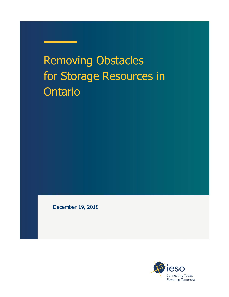# Removing Obstacles for Storage Resources in **Ontario**

December 19, 2018

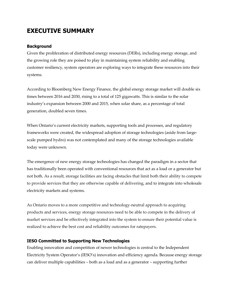# **EXECUTIVE SUMMARY**

#### **Background**

Given the proliferation of distributed energy resources (DERs), including energy storage, and the growing role they are poised to play in maintaining system reliability and enabling customer resiliency, system operators are exploring ways to integrate these resources into their systems.

According to Bloomberg New Energy Finance, the global energy storage market will double six times between 2016 and 2030, rising to a total of 125 gigawatts. This is similar to the solar industry's expansion between 2000 and 2015, when solar share, as a percentage of total generation, doubled seven times.

When Ontario's current electricity markets, supporting tools and processes, and regulatory frameworks were created, the widespread adoption of storage technologies (aside from largescale pumped hydro) was not contemplated and many of the storage technologies available today were unknown.

The emergence of new energy storage technologies has changed the paradigm in a sector that has traditionally been operated with conventional resources that act as a load or a generator but not both. As a result, storage facilities are facing obstacles that limit both their ability to compete to provide services that they are otherwise capable of delivering, and to integrate into wholesale electricity markets and systems.

As Ontario moves to a more competitive and technology-neutral approach to acquiring products and services, energy storage resources need to be able to compete in the delivery of market services and be effectively integrated into the system to ensure their potential value is realized to achieve the best cost and reliability outcomes for ratepayers.

#### **IESO Committed to Supporting New Technologies**

Enabling innovation and competition of newer technologies is central to the Independent Electricity System Operator's (IESO's) innovation and efficiency agenda. Because energy storage can deliver multiple capabilities – both as a load and as a generator – supporting further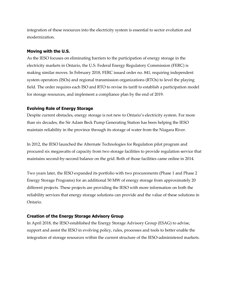integration of these resources into the electricity system is essential to sector evolution and modernization.

#### **Moving with the U.S.**

As the IESO focuses on eliminating barriers to the participation of energy storage in the electricity markets in Ontario, the U.S. Federal Energy Regulatory Commission (FERC) is making similar moves. In February 2018, FERC issued order no. 841, requiring independent system operators (ISOs) and regional transmission organizations (RTOs) to level the playing field. The order requires each ISO and RTO to revise its tariff to establish a participation model for storage resources, and implement a compliance plan by the end of 2019.

#### **Evolving Role of Energy Storage**

Despite current obstacles, energy storage is not new to Ontario's electricity system. For more than six decades, the Sir Adam Beck Pump Generating Station has been helping the IESO maintain reliability in the province through its storage of water from the Niagara River.

In 2012, the IESO launched the Alternate Technologies for Regulation pilot program and procured six megawatts of capacity from two storage facilities to provide regulation service that maintains second-by-second balance on the grid. Both of those facilities came online in 2014.

Two years later, the IESO expanded its portfolio with two procurements (Phase 1 and Phase 2 Energy Storage Programs) for an additional 50 MW of energy storage from approximately 20 different projects. These projects are providing the IESO with more information on both the reliability services that energy storage solutions can provide and the value of these solutions in Ontario.

#### **Creation of the Energy Storage Advisory Group**

In April 2018, the IESO established the Energy Storage Advisory Group (ESAG) to advise, support and assist the IESO in evolving policy, rules, processes and tools to better enable the integration of storage resources within the current structure of the IESO-administered markets.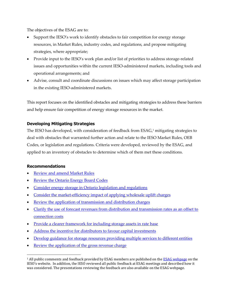The objectives of the ESAG are to:

- Support the IESO's work to identify obstacles to fair competition for energy storage resources, in Market Rules, industry codes, and regulations, and propose mitigating strategies, where appropriate;
- Provide input to the IESO's work plan and/or list of priorities to address storage-related issues and opportunities within the current IESO-administered markets, including tools and operational arrangements; and
- Advise, consult and coordinate discussions on issues which may affect storage participation in the existing IESO-administered markets.

This report focuses on the identified obstacles and mitigating strategies to address these barriers and help ensure fair competition of energy storage resources in the market.

#### **Developing Mitigating Strategies**

The IESO has developed, with consideration of feedback from ESAG, <sup>1</sup> mitigating strategies to deal with obstacles that warranted further action and relate to the IESO Market Rules, OEB Codes, or legislation and regulations. Criteria were developed, reviewed by the ESAG, and applied to an inventory of obstacles to determine which of them met these conditions.

#### **Recommendations**

 $\overline{a}$ 

- [Review and amend Market Rules](#page-8-0)
- [Review the Ontario Energy Board Codes](#page-9-0)
- [Consider energy storage in Ontario legislation and regulations](#page-9-1)
- [Consider the market-efficiency impact of applying wholesale uplift](#page-11-0) charges
- [Review the application of transmission and distribution charges](#page-11-1)
- Clarify the use of forecast revenues from distribution and transmission rates as an offset to [connection costs](#page-12-0)
- [Provide a clearer framework for including storage assets in rate base](#page-13-0)
- [Address the incentive for distributors to favour capital investments](#page-13-1)
- [Develop guidance for storage resources providing multiple services to different entities](#page-14-0)
- [Review the application of the gross revenue charge](#page-14-1)

<sup>&</sup>lt;sup>1</sup> All public comments and feedback provided by ESAG members are published on the **ESAG webpage** on the IESO's website. In addition, the IESO reviewed all public feedback at ESAG meetings and described how it was considered. The presentations reviewing the feedback are also available on the ESAG webpage.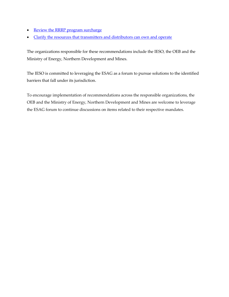- [Review the RRRP program surcharge](#page-15-0)
- Clarify the resources that transmitters and distributors can own and operate

The organizations responsible for these recommendations include the IESO, the OEB and the Ministry of Energy, Northern Development and Mines.

The IESO is committed to leveraging the ESAG as a forum to pursue solutions to the identified barriers that fall under its jurisdiction.

To encourage implementation of recommendations across the responsible organizations, the OEB and the Ministry of Energy, Northern Development and Mines are welcome to leverage the ESAG forum to continue discussions on items related to their respective mandates.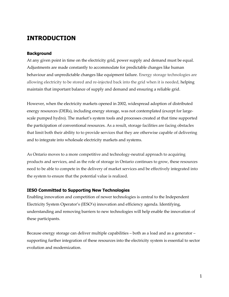### **INTRODUCTION**

#### **Background**

At any given point in time on the electricity grid, power supply and demand must be equal. Adjustments are made constantly to accommodate for predictable changes like human behaviour and unpredictable changes like equipment failure. Energy storage technologies are allowing electricity to be stored and re-injected back into the grid when it is needed, helping maintain that important balance of supply and demand and ensuring a reliable grid.

However, when the electricity markets opened in 2002, widespread adoption of distributed energy resources (DERs), including energy storage, was not contemplated (except for largescale pumped hydro). The market's system tools and processes created at that time supported the participation of conventional resources. As a result, storage facilities are facing obstacles that limit both their ability to to provide services that they are otherwise capable of delivering and to integrate into wholesale electricity markets and systems.

As Ontario moves to a more competitive and technology-neutral approach to acquiring products and services, and as the role of storage in Ontario continues to grow, these resources need to be able to compete in the delivery of market services and be effectively integrated into the system to ensure that the potential value is realized.

#### **IESO Committed to Supporting New Technologies**

Enabling innovation and competition of newer technologies is central to the Independent Electricity System Operator's (IESO's) innovation and efficiency agenda. Identifying, understanding and removing barriers to new technologies will help enable the innovation of these participants.

Because energy storage can deliver multiple capabilities – both as a load and as a generator – supporting further integration of these resources into the electricity system is essential to sector evolution and modernization.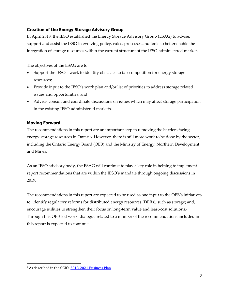#### **Creation of the Energy Storage Advisory Group**

In April 2018, the IESO established the Energy Storage Advisory Group (ESAG) to advise, support and assist the IESO in evolving policy, rules, processes and tools to better enable the integration of storage resources within the current structure of the IESO-administered market.

The objectives of the ESAG are to:

- Support the IESO's work to identify obstacles to fair competition for energy storage resources;
- Provide input to the IESO's work plan and/or list of priorities to address storage related issues and opportunities; and
- Advise, consult and coordinate discussions on issues which may affect storage participation in the existing IESO-administered markets.

#### **Moving Forward**

The recommendations in this report are an important step in removing the barriers facing energy storage resources in Ontario. However, there is still more work to be done by the sector, including the Ontario Energy Board (OEB) and the Ministry of Energy, Northern Development and Mines.

As an IESO advisory body, the ESAG will continue to play a key role in helping to implement report recommendations that are within the IESO's mandate through ongoing discussions in 2019.

The recommendations in this report are expected to be used as one input to the OEB's initiatives to: identify regulatory reforms for distributed energy resources (DERs), such as storage; and, encourage utilities to strengthen their focus on long-term value and least-cost solutions. 2 Through this OEB-led work, dialogue related to a number of the recommendations included in this report is expected to continue.

 $\overline{a}$ 

<sup>&</sup>lt;sup>2</sup> As described in the OEB's [2018-2021 Business Plan](https://www.oeb.ca/sites/default/files/OEB-2018-2021-business-plan.pdf)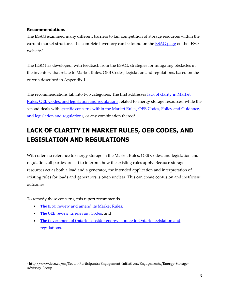#### **Recommendations**

The ESAG examined many different barriers to fair competition of storage resources within the current market structure. The complete inventory can be found on the **ESAG page** on the IESO website. 3

The IESO has developed, with feedback from the ESAG, strategies for mitigating obstacles in the inventory that relate to Market Rules, OEB Codes, legislation and regulations, based on the criteria described in Appendix 1.

The recommendations fall into two categories. The first addresses lack of clarity in Market Rules, OEB Codes, and [legislation and regulations](#page-7-0) related to energy storage resources, while the second deals with specific concerns within the Market Rules, OEB Codes, Policy and Guidance, [and legislation and regulations,](#page-10-0) or any combination thereof.

# <span id="page-7-0"></span>**LACK OF CLARITY IN MARKET RULES, OEB CODES, AND LEGISLATION AND REGULATIONS**

With often no reference to energy storage in the Market Rules, OEB Codes, and legislation and regulation, all parties are left to interpret how the existing rules apply. Because storage resources act as both a load and a generator, the intended application and interpretation of existing rules for loads and generators is often unclear. This can create confusion and inefficient outcomes.

To remedy these concerns, this report recommends

- The IESO [review and amend its Market Rules;](#page-8-0)
- [The OEB review its](#page-9-0) relevant Codes; and

 $\overline{a}$ 

 The Government of Ontario c[onsider energy storage in Ontario legislation and](#page-9-1)  [regulations.](#page-9-1)

<sup>3</sup> http://www.ieso.ca/en/Sector-Participants/Engagement-Initiatives/Engagements/Energy-Storage-Advisory-Group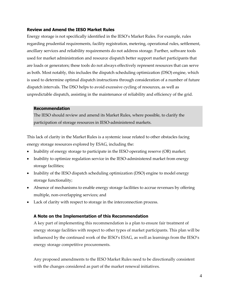#### <span id="page-8-0"></span>**Review and Amend the IESO Market Rules**

Energy storage is not specifically identified in the IESO's Market Rules. For example, rules regarding prudential requirements, facility registration, metering, operational rules, settlement, ancillary services and reliability requirements do not address storage. Further, software tools used for market administration and resource dispatch better support market participants that are loads or generators; these tools do not always effectively represent resources that can serve as both. Most notably, this includes the dispatch scheduling optimization (DSO) engine, which is used to determine optimal dispatch instructions through consideration of a number of future dispatch intervals. The DSO helps to avoid excessive cycling of resources, as well as unpredictable dispatch, assisting in the maintenance of reliability and efficiency of the grid.

#### **Recommendation**

The IESO should review and amend its Market Rules, where possible, to clarify the participation of storage resources in IESO-administered markets.

This lack of clarity in the Market Rules is a systemic issue related to other obstacles facing energy storage resources explored by ESAG, including the:

- Inability of energy storage to participate in the IESO operating reserve (OR) market;
- Inability to optimize regulation service in the IESO-administered market from energy storage facilities;
- Inability of the IESO dispatch scheduling optimization (DSO) engine to model energy storage functionality;
- Absence of mechanisms to enable energy storage facilities to accrue revenues by offering multiple, non-overlapping services; and
- Lack of clarity with respect to storage in the interconnection process.

#### **A Note on the Implementation of this Recommendation**

A key part of implementing this recommendation is a plan to ensure fair treatment of energy storage facilities with respect to other types of market participants. This plan will be influenced by the continued work of the IESO's ESAG, as well as learnings from the IESO's energy storage competitive procurements.

Any proposed amendments to the IESO Market Rules need to be directionally consistent with the changes considered as part of the market renewal initiatives.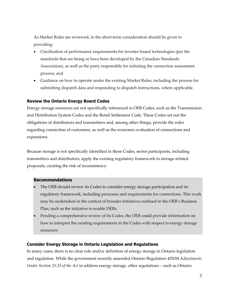As Market Rules are reviewed, in the short-term consideration should be given to providing:

- Clarification of performance requirements for inverter-based technologies (per the standards that are being or have been developed by the Canadian Standards Association), as well as the party responsible for initiating the connection assessment process; and
- Guidance on how to operate under the existing Market Rules, including the process for submitting dispatch data and responding to dispatch instructions, where applicable.

#### <span id="page-9-0"></span>**Review the Ontario Energy Board Codes**

Energy storage resources are not specifically referenced in OEB Codes, such as the Transmission and Distribution System Codes and the Retail Settlement Code. These Codes set out the obligations of distributors and transmitters and, among other things, provide the rules regarding connection of customers, as well as the economic evaluation of connections and expansions.

Because storage is not specifically identified in these Codes, sector participants, including transmitters and distributors, apply the existing regulatory framework to storage-related proposals, creating the risk of inconsistency.

#### **Recommendations**

- The OEB should review its Codes to consider energy storage participation and its regulatory framework, including processes and requirements for connections. This work may be undertaken in the context of broader initiatives outlined in the OEB's Business Plan, such as the initiative to enable DERs.
- Pending a comprehensive review of its Codes, the OEB could provide information on how to interpret the existing requirements in the Codes with respect to energy storage resources.

#### <span id="page-9-1"></span>**Consider Energy Storage in Ontario Legislation and Regulations**

In many cases, there is no clear role and/or definition of energy storage in Ontario legislation and regulation. While the government recently amended Ontario Regulation 429/04 A*djustments Under Section 25.33 of the Act* to address energy storage, other regulations – such as Ontario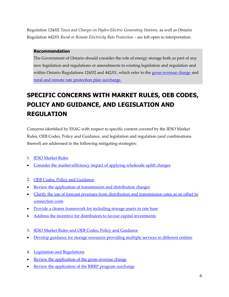Regulation 124/02 *Taxes and Charges on Hydro-Electric Generating Stations,* as well as Ontario Regulation 442/01 *Rural or Remote Electricity Rate Protection* – are left open to interpretation.

#### **Recommendation**

The Government of Ontario should consider the role of energy storage both as part of any new legislation and regulations or amendments to existing legislation and regulation and within Ontario Regulations 124/02 and 442/01, which refer to the [gross revenue charge](#page-14-1) and [rural and remote rate protection plan surcharge.](#page-15-0) 

# <span id="page-10-0"></span>**SPECIFIC CONCERNS WITH MARKET RULES, OEB CODES, POLICY AND GUIDANCE, AND LEGISLATION AND REGULATION**

Concerns identified by ESAG with respect to specific content covered by the IESO Market Rules, OEB Codes, Policy and Guidance, and legislation and regulation (and combinations thereof) are addressed in the following mitigating strategies:

- 1. [IESO Market Rules](#page-11-2)
- [Consider the market-efficiency impact of applying wholesale uplift charges](#page-11-0)
- 2. [OEB Codes, Policy and Guidance](#page-11-3)
- [Review the application of transmission and distribution charges](#page-11-1)
- [Clarify the use of forecast revenues from distribution and transmission rates as an offset to](#page-12-0)  [connection costs](#page-12-0)
- [Provide a clearer framework for including storage assets in rate base](#page-13-0)
- [Address the incentive for distributors to favour capital investments](#page-13-1)
- 3. [IESO Market Rules and OEB Codes, Policy and Guidance](#page-14-2)
- [Develop guidance for storage resources providing multiple services to different entities](#page-14-0)
- 4. [Legislation and Regulations](#page-14-3)
- [Review the application of the gross revenue charge](#page-14-1)
- Review the application of [the RRRP program surcharge](#page-15-0)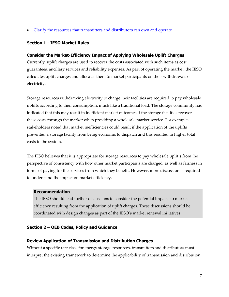[Clarify the resources that transmitters and distributors can own and operate](#page-15-1)

#### <span id="page-11-2"></span>**Section 1 - IESO Market Rules**

#### <span id="page-11-0"></span>**Consider the Market-Efficiency Impact of Applying Wholesale Uplift Charges**

Currently, uplift charges are used to recover the costs associated with such items as cost guarantees, ancillary services and reliability expenses. As part of operating the market, the IESO calculates uplift charges and allocates them to market participants on their withdrawals of electricity.

Storage resources withdrawing electricity to charge their facilities are required to pay wholesale uplifts according to their consumption, much like a traditional load. The storage community has indicated that this may result in inefficient market outcomes if the storage facilities recover these costs through the market when providing a wholesale market service. For example, stakeholders noted that market inefficiencies could result if the application of the uplifts prevented a storage facility from being economic to dispatch and this resulted in higher total costs to the system.

The IESO believes that it is appropriate for storage resources to pay wholesale uplifts from the perspective of consistency with how other market participants are charged, as well as fairness in terms of paying for the services from which they benefit. However, more discussion is required to understand the impact on market efficiency.

#### **Recommendation**

The IESO should lead further discussions to consider the potential impacts to market efficiency resulting from the application of uplift charges. These discussions should be coordinated with design changes as part of the IESO's market renewal initiatives.

#### <span id="page-11-3"></span>**Section 2 – OEB Codes, Policy and Guidance**

#### <span id="page-11-1"></span>**Review Application of Transmission and Distribution Charges**

Without a specific rate class for energy storage resources, transmitters and distributors must interpret the existing framework to determine the applicability of transmission and distribution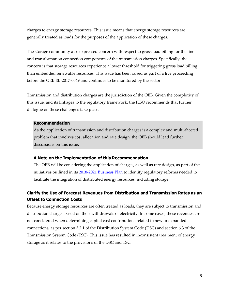charges to energy storage resources. This issue means that energy storage resources are generally treated as loads for the purposes of the application of these charges.

The storage community also expressed concern with respect to gross load billing for the line and transformation connection components of the transmission charges. Specifically, the concern is that storage resources experience a lower threshold for triggering gross load billing than embedded renewable resources. This issue has been raised as part of a live proceeding before the OEB EB-2017-0049 and continues to be monitored by the sector.

Transmission and distribution charges are the jurisdiction of the OEB. Given the complexity of this issue, and its linkages to the regulatory framework, the IESO recommends that further dialogue on these challenges take place.

#### **Recommendation**

As the application of transmission and distribution charges is a complex and multi-faceted problem that involves cost allocation and rate design, the OEB should lead further discussions on this issue.

#### **A Note on the Implementation of this Recommendation**

The OEB will be considering the application of charges, as well as rate design, as part of the initiatives outlined in its [2018-2021 Business Plan](https://www.oeb.ca/sites/default/files/OEB-2018-2021-business-plan.pdf) to identify regulatory reforms needed to facilitate the integration of distributed energy resources, including storage.

#### <span id="page-12-0"></span>**Clarify the Use of Forecast Revenues from Distribution and Transmission Rates as an Offset to Connection Costs**

Because energy storage resources are often treated as loads, they are subject to transmission and distribution charges based on their withdrawals of electricity. In some cases, these revenues are not considered when determining capital cost contributions related to new or expanded connections, as per section 3.2.1 of the Distribution System Code (DSC) and section 6.3 of the Transmission System Code (TSC). This issue has resulted in inconsistent treatment of energy storage as it relates to the provisions of the DSC and TSC.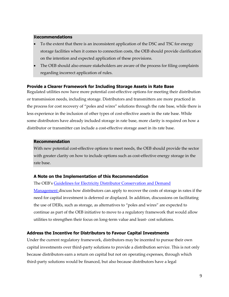#### **Recommendations**

- To the extent that there is an inconsistent application of the DSC and TSC for energy storage facilities when it comes to connection costs, the OEB should provide clarification on the intention and expected application of these provisions.
- The OEB should also ensure stakeholders are aware of the process for filing complaints regarding incorrect application of rules.

#### <span id="page-13-0"></span>**Provide a Clearer Framework for Including Storage Assets in Rate Base**

Regulated utilities now have more potential cost-effective options for meeting their distribution or transmission needs, including storage. Distributors and transmitters are more practiced in the process for cost recovery of "poles and wires" solutions through the rate base, while there is less experience in the inclusion of other types of cost-effective assets in the rate base. While some distributors have already included storage in rate base, more clarity is required on how a distributor or transmitter can include a cost-effective storage asset in its rate base.

#### **Recommendation**

With new potential cost-effective options to meet needs, the OEB should provide the sector with greater clarity on how to include options such as cost-effective energy storage in the rate base.

#### **A Note on the Implementation of this Recommendation**

The OEB's Guidelines for Electricity Distributor Conservation and Demand [Management](http://www.ontarioenergyboard.ca/oeb/_Documents/EB-2012-0003/CDM_Guidelines_Electricity_Distributor.pdf) discuss how distributors can apply to recover the costs of storage in rates if the need for capital investment is deferred or displaced. In addition, discussions on facilitating the use of DERs, such as storage, as alternatives to "poles and wires" are expected to continue as part of the OEB initiative to move to a regulatory framework that would allow utilities to strengthen their focus on long-term value and least- cost solutions.

#### <span id="page-13-1"></span>**Address the Incentive for Distributors to Favour Capital Investments**

Under the current regulatory framework, distributors may be incented to pursue their own capital investments over third-party solutions to provide a distribution service. This is not only because distributors earn a return on capital but not on operating expenses, through which third-party solutions would be financed, but also because distributors have a legal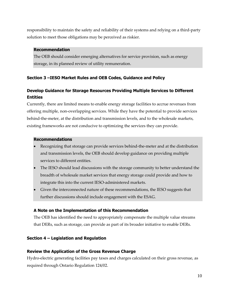responsibility to maintain the safety and reliability of their systems and relying on a third-party solution to meet those obligations may be perceived as riskier.

#### **Recommendation**

The OEB should consider emerging alternatives for service provision, such as energy storage, in its planned review of utility remuneration.

#### <span id="page-14-2"></span>**Section 3 –IESO Market Rules and OEB Codes, Guidance and Policy**

#### <span id="page-14-0"></span>**Develop Guidance for Storage Resources Providing Multiple Services to Different Entities**

Currently, there are limited means to enable energy storage facilities to accrue revenues from offering multiple, non-overlapping services. While they have the potential to provide services behind-the-meter, at the distribution and transmission levels, and to the wholesale markets, existing frameworks are not conducive to optimizing the services they can provide.

#### **Recommendations**

- Recognizing that storage can provide services behind-the-meter and at the distribution and transmission levels, the OEB should develop guidance on providing multiple services to different entities.
- The IESO should lead discussions with the storage community to better understand the breadth of wholesale market services that energy storage could provide and how to integrate this into the current IESO-administered markets.
- Given the interconnected nature of these recommendations, the IESO suggests that further discussions should include engagement with the ESAG.

#### **A Note on the Implementation of this Recommendation**

The OEB has identified the need to appropriately compensate the multiple value streams that DERs, such as storage, can provide as part of its broader initiative to enable DERs.

#### <span id="page-14-3"></span>**Section 4 – Legislation and Regulation**

#### <span id="page-14-1"></span>**Review the Application of the Gross Revenue Charge**

Hydro-electric generating facilities pay taxes and charges calculated on their gross revenue, as required through Ontario Regulation 124/02.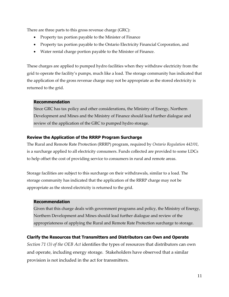There are three parts to this gross revenue charge (GRC):

- Property tax portion payable to the Minister of Finance
- Property tax portion payable to the Ontario Electricity Financial Corporation, and
- Water rental charge portion payable to the Minister of Finance.

These charges are applied to pumped hydro facilities when they withdraw electricity from the grid to operate the facility's pumps, much like a load. The storage community has indicated that the application of the gross revenue charge may not be appropriate as the stored electricity is returned to the grid.

#### **Recommendation**

Since GRC has tax policy and other considerations, the Ministry of Energy, Northern Development and Mines and the Ministry of Finance should lead further dialogue and review of the application of the GRC to pumped hydro storage.

#### <span id="page-15-0"></span>**Review the Application of the RRRP Program Surcharge**

The Rural and Remote Rate Protection (RRRP) program, required by *Ontario Regulation 442/01*, is a surcharge applied to all electricity consumers. Funds collected are provided to some LDCs to help offset the cost of providing service to consumers in rural and remote areas.

Storage facilities are subject to this surcharge on their withdrawals, similar to a load. The storage community has indicated that the application of the RRRP charge may not be appropriate as the stored electricity is returned to the grid.

#### **Recommendation**

Given that this charge deals with government programs and policy, the Ministry of Energy, Northern Development and Mines should lead further dialogue and review of the appropriateness of applying the Rural and Remote Rate Protection surcharge to storage.

#### <span id="page-15-1"></span>**Clarify the Resources that Transmitters and Distributors can Own and Operate**

*Section 71 (3) of the OEB Act* identifies the types of resources that distributors can own and operate, including energy storage. Stakeholders have observed that a similar provision is not included in the act for transmitters.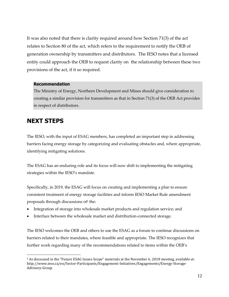It was also noted that there is clarity required around how Section 71(3) of the act relates to Section 80 of the act, which refers to the requirement to notify the OEB of generation ownership by transmitters and distributors. The IESO notes that a licensed entity could approach the OEB to request clarity on the relationship between these two provisions of the act, if it so required.

#### **Recommendation**

The Ministry of Energy, Northern Development and Mines should give consideration to creating a similar provision for transmitters as that in Section 71(3) of the OEB Act provides in respect of distributors.

### **NEXT STEPS**

 $\overline{a}$ 

The IESO, with the input of ESAG members, has completed an important step in addressing barriers facing energy storage by categorizing and evaluating obstacles and, where appropriate, identifying mitigating solutions.

The ESAG has an enduring role and its focus will now shift to implementing the mitigating strategies within the IESO's mandate.

Specifically, in 2019, the ESAG will focus on creating and implementing a plan to ensure consistent treatment of energy storage facilities and inform IESO Market Rule amendment proposals through discussions of<sup>4</sup> the:

- Integration of storage into wholesale market products and regulation service; and
- Interface between the wholesale market and distribution-connected storage.

The IESO welcomes the OEB and others to use the ESAG as a forum to continue discussions on barriers related to their mandates, where feasible and appropriate. The IESO recognizes that further work regarding many of the recommendations related to items within the OEB's

<sup>4</sup> As discussed in the "Future ESAG Issues Scope" materials at the November 6, 2018 meeting, available at: http://www.ieso.ca/en/Sector-Participants/Engagement-Initiatives/Engagements/Energy-Storage-Advisory-Group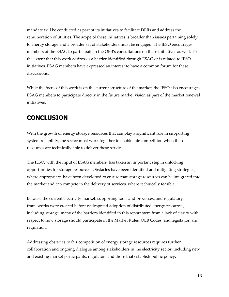mandate will be conducted as part of its initiatives to facilitate DERs and address the remuneration of utilities. The scope of these initiatives is broader than issues pertaining solely to energy storage and a broader set of stakeholders must be engaged. The IESO encourages members of the ESAG to participate in the OEB's consultations on these initiatives as well. To the extent that this work addresses a barrier identified through ESAG or is related to IESO initiatives, ESAG members have expressed an interest to have a common forum for these discussions.

While the focus of this work is on the current structure of the market, the IESO also encourages ESAG members to participate directly in the future market vision as part of the market renewal initiatives.

# **CONCLUSION**

With the growth of energy storage resources that can play a significant role in supporting system reliability, the sector must work together to enable fair competition when these resources are technically able to deliver these services.

The IESO, with the input of ESAG members, has taken an important step in unlocking opportunities for storage resources. Obstacles have been identified and mitigating strategies, where appropriate, have been developed to ensure that storage resources can be integrated into the market and can compete in the delivery of services, where technically feasible.

Because the current electricity market, supporting tools and processes, and regulatory frameworks were created before widespread adoption of distributed energy resources, including storage, many of the barriers identified in this report stem from a lack of clarity with respect to how storage should participate in the Market Rules, OEB Codes, and legislation and regulation.

Addressing obstacles to fair competition of energy storage resources requires further collaboration and ongoing dialogue among stakeholders in the electricity sector, including new and existing market participants, regulators and those that establish public policy.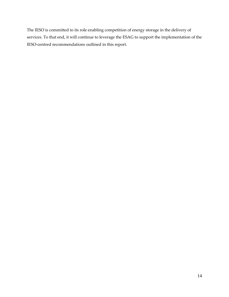The IESO is committed to its role enabling competition of energy storage in the delivery of services. To that end, it will continue to leverage the ESAG to support the implementation of the IESO-centred recommendations outlined in this report.